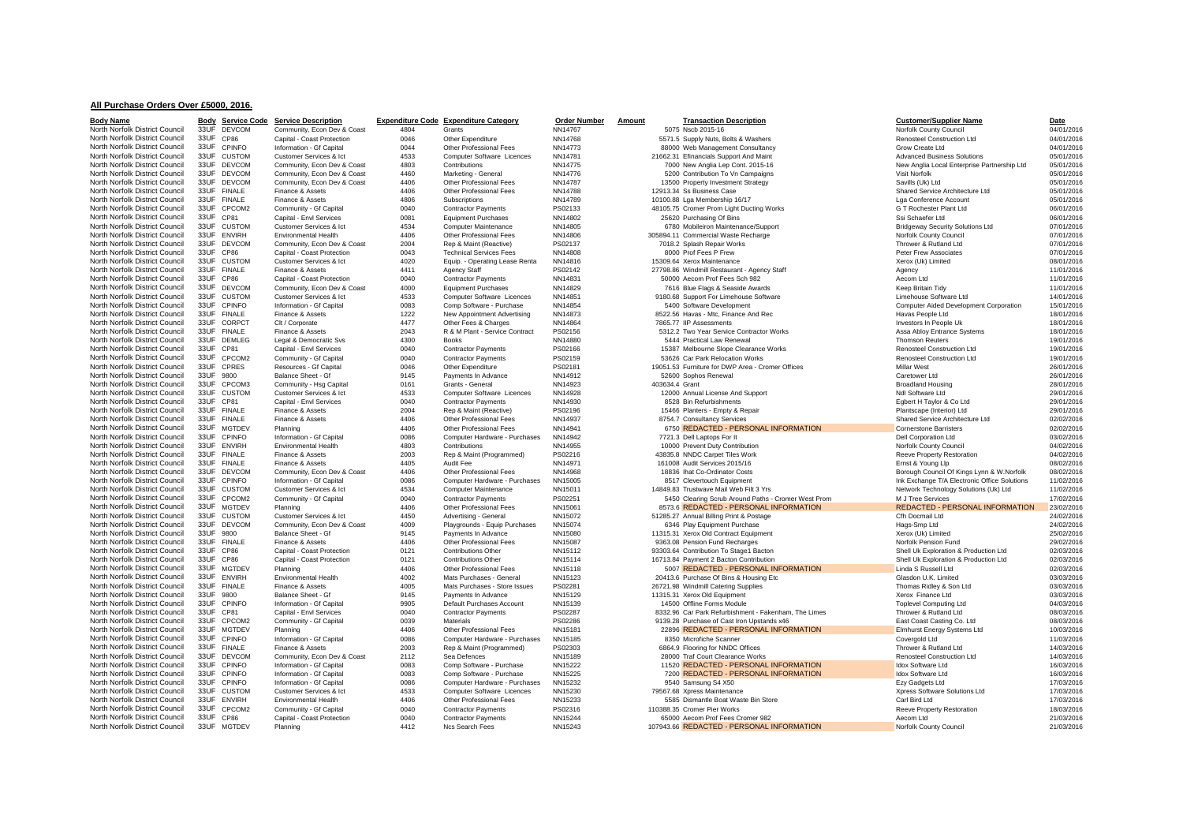## **All Purchase Orders Over £5000, 2016.**

| <b>Body Name</b>               |           | <b>Body</b> Service Code | <b>Service Description</b>  | <b>Expenditure Code</b> | <b>Expenditure Category</b>       | <b>Order Number</b> | Amount |                | <b>Transaction Description</b>                       | <b>Customer/Supplier Name</b>                | Date       |
|--------------------------------|-----------|--------------------------|-----------------------------|-------------------------|-----------------------------------|---------------------|--------|----------------|------------------------------------------------------|----------------------------------------------|------------|
| North Norfolk District Council |           | 33UF DEVCOM              | Community, Econ Dev & Coast | 4804                    | Grants                            | NN14767             |        |                | 5075 Nscb 2015-16                                    | Norfolk County Council                       | 04/01/2016 |
| North Norfolk District Council | 33UF CP86 |                          | Capital - Coast Protection  | 0046                    | Other Expenditure                 | NN14768             |        |                | 5571.5 Supply Nuts, Bolts & Washers                  | Renosteel Construction Ltd                   | 04/01/2016 |
| North Norfolk District Council |           | 33UF CPINFO              | Information - Gf Capital    | 0044                    | Other Professional Fees           | NN14773             |        |                | 88000 Web Management Consultancy                     | Grow Create Ltd                              | 04/01/2016 |
| North Norfolk District Council |           | 33UF CUSTOM              | Customer Services & Ict     | 4533                    | Computer Software Licences        | NN14781             |        |                | 21662.31 Efinancials Support And Maint               | <b>Advanced Business Solutions</b>           | 05/01/2016 |
| North Norfolk District Council |           | 33UF DEVCOM              | Community, Econ Dev & Coast | 4803                    | Contributions                     | NN14775             |        |                | 7000 New Anglia Lep Cont. 2015-16                    | New Anglia Local Enterprise Partnership Ltd  | 05/01/2016 |
| North Norfolk District Council |           | 33UF DEVCOM              | Community, Econ Dev & Coast | 4460                    | Marketing - General               | NN14776             |        |                | 5200 Contribution To Vn Campaigns                    | Visit Norfolk                                | 05/01/2016 |
| North Norfolk District Council |           | 33UF DEVCOM              | Community, Econ Dev & Coast | 4406                    | Other Professional Fees           | NN14787             |        |                | 13500 Property Investment Strategy                   | Savills (Uk) Ltd                             | 05/01/2016 |
| North Norfolk District Council |           | 33UF FINALE              | Finance & Assets            | 4406                    | Other Professional Fees           | NN14788             |        |                | 12913.34 Ss Business Case                            | Shared Service Architecture Ltd              | 05/01/2016 |
|                                |           |                          |                             |                         |                                   |                     |        |                |                                                      |                                              |            |
| North Norfolk District Council |           | 33UF FINALE              | Finance & Assets            | 4806                    | Subscriptions                     | NN14789             |        |                | 10100.88 Lga Membership 16/17                        | Lga Conference Account                       | 05/01/2016 |
| North Norfolk District Council |           | 33UF CPCOM2              | Community - Gf Capital      | 0040                    | <b>Contractor Payments</b>        | PS02133             |        |                | 48105.75 Cromer Prom Light Ducting Works             | G T Rochester Plant Ltd                      | 06/01/2016 |
| North Norfolk District Council | 33UF CP81 |                          | Capital - Envl Services     | 0081                    | <b>Equipment Purchases</b>        | NN14802             |        |                | 25620 Purchasing Of Bins                             | Ssi Schaefer Ltd                             | 06/01/2016 |
| North Norfolk District Council |           | 33UF CUSTOM              | Customer Services & Ict     | 4534                    | <b>Computer Maintenance</b>       | NN14805             |        |                | 6780 Mobileiron Maintenance/Support                  | <b>Bridgeway Security Solutions Ltd</b>      | 07/01/2016 |
| North Norfolk District Council |           | 33UF ENVIRH              | <b>Environmental Health</b> | 4406                    | Other Professional Fees           | NN14806             |        |                | 305894.11 Commercial Waste Recharge                  | Norfolk County Council                       | 07/01/2016 |
| North Norfolk District Council |           | 33UF DEVCOM              | Community, Econ Dev & Coast | 2004                    | Rep & Maint (Reactive)            | PS02137             |        |                | 7018.2 Splash Repair Works                           | Thrower & Rutland Ltd                        | 07/01/2016 |
| North Norfolk District Council | 33UF CP86 |                          | Capital - Coast Protection  | 0043                    | <b>Technical Services Fees</b>    | NN14808             |        |                | 8000 Prof Fees P Frew                                | Peter Frew Associates                        | 07/01/2016 |
| North Norfolk District Council |           | 33UF CUSTOM              | Customer Services & Ict     | 4020                    | Equip. - Operating Lease Renta    | NN14816             |        |                | 15309.64 Xerox Maintenance                           | Xerox (Uk) Limited                           | 08/01/2016 |
| North Norfolk District Council |           | 33UF FINALE              | Finance & Assets            | 4411                    | Agency Staff                      | PS02142             |        |                | 27798.86 Windmill Restaurant - Agency Staff          | Agency                                       | 11/01/2016 |
| North Norfolk District Council | 33UF CP86 |                          | Capital - Coast Protection  | 0040                    | <b>Contractor Payments</b>        | NN14831             |        |                | 50000 Aecom Prof Fees Sch 982                        | Aecom Ltd                                    | 11/01/2016 |
| North Norfolk District Council |           | 33UF DEVCOM              | Community, Econ Dev & Coast | 4000                    | <b>Equipment Purchases</b>        | NN14829             |        |                | 7616 Blue Flags & Seaside Awards                     | Keep Britain Tidy                            | 11/01/2016 |
| North Norfolk District Council |           | 33UF CUSTOM              | Customer Services & Ict     | 4533                    | Computer Software Licences        | NN14851             |        |                | 9180.68 Support For Limehouse Software               | Limehouse Software Ltd                       | 14/01/2016 |
| North Norfolk District Council | 33UF      | <b>CPINFO</b>            | Information - Gf Capital    | 0083                    | Comp Software - Purchase          | NN14854             |        |                | 5400 Software Development                            | Computer Aided Development Corporation       | 15/01/2016 |
|                                |           |                          |                             |                         |                                   |                     |        |                |                                                      |                                              |            |
| North Norfolk District Council |           | 33UF FINALE              | Finance & Assets            | 1222                    | New Appointment Advertising       | NN14873             |        |                | 8522.56 Havas - Mtc, Finance And Rec                 | Havas People Ltd                             | 18/01/2016 |
| North Norfolk District Council | 33UF      | CORPCT                   | Clt / Corporate             | 4477                    | Other Fees & Charges              | NN14864             |        |                | 7865.77 IIP Assessments                              | Investors In People Uk                       | 18/01/2016 |
| North Norfolk District Council |           | 33UF FINALE              | Finance & Assets            | 2043                    | R & M Plant - Service Contract    | PS02156             |        |                | 5312.2 Two Year Service Contractor Works             | Assa Abloy Entrance Systems                  | 18/01/2016 |
| North Norfolk District Council |           | 33UF DEMLEG              | Legal & Democratic Sys      | 4300                    | <b>Books</b>                      | NN14880             |        |                | 5444 Practical Law Renewal                           | <b>Thomson Reuters</b>                       | 19/01/2016 |
| North Norfolk District Council | 33UF CP81 |                          | Capital - Envl Services     | 0040                    | <b>Contractor Payments</b>        | PS02166             |        |                | 15387 Melbourne Slope Clearance Works                | Renosteel Construction Ltd                   | 19/01/2016 |
| North Norfolk District Council |           | 33UF CPCOM2              | Community - Gf Capital      | 0040                    | <b>Contractor Payments</b>        | PS02159             |        |                | 53626 Car Park Relocation Works                      | Renosteel Construction Ltd                   | 19/01/2016 |
| North Norfolk District Council |           | 33UF CPRES               | Resources - Gf Capital      | 0046                    | Other Expenditure                 | PS02181             |        |                | 19051.53 Furniture for DWP Area - Cromer Offices     | <b>Millar West</b>                           | 26/01/2016 |
| North Norfolk District Council | 33UF 9800 |                          | Balance Sheet - Gf          | 9145                    | Payments In Advance               | NN14912             |        |                | 52600 Sophos Renewal                                 | Caretower Ltd                                | 26/01/2016 |
| North Norfolk District Council |           | 33UF CPCOM3              | Community - Hsg Capital     | 0161                    | Grants - General                  | NN14923             |        | 403634.4 Grant |                                                      | <b>Broadland Housing</b>                     | 28/01/2016 |
| North Norfolk District Council |           | 33UF CUSTOM              | Customer Services & Ict     | 4533                    | <b>Computer Software Licences</b> | NN14928             |        |                | 12000 Annual License And Support                     | Ndl Software Ltd                             | 29/01/2016 |
| North Norfolk District Council | 33UF CP81 |                          | Capital - Envl Services     | 0040                    | <b>Contractor Payments</b>        | NN14930             |        |                | 8528 Bin Refurbishments                              | Egbert H Taylor & Co Ltd                     | 29/01/2016 |
| North Norfolk District Council |           | 33UF FINALE              | Finance & Assets            | 2004                    | Rep & Maint (Reactive)            | PS02196             |        |                | 15466 Planters - Empty & Repair                      | Plantscape (Interior) Ltd                    | 29/01/2016 |
|                                |           | 33UF FINALE              |                             | 4406                    |                                   | NN14937             |        |                |                                                      |                                              |            |
| North Norfolk District Council |           |                          | Finance & Assets            |                         | Other Professional Fees           |                     |        |                | 8754.7 Consultancy Services                          | Shared Service Architecture Ltd              | 02/02/2016 |
| North Norfolk District Council | 33UF      | <b>MGTDEV</b>            | Planning                    | 4406                    | Other Professional Fees           | NN14941             |        |                | 6750 REDACTED - PERSONAL INFORMATION                 | <b>Cornerstone Barristers</b>                | 02/02/2016 |
| North Norfolk District Council |           | 33UF CPINFO              | Information - Gf Capital    | 0086                    | Computer Hardware - Purchases     | NN14942             |        |                | 7721.3 Dell Laptops For It                           | <b>Dell Corporation Ltd</b>                  | 03/02/2016 |
| North Norfolk District Council |           | 33UF ENVIRH              | <b>Environmental Health</b> | 4803                    | Contributions                     | NN14955             |        |                | 10000 Prevent Duty Contribution                      | Norfolk County Council                       | 04/02/2016 |
| North Norfolk District Council |           | 33UF FINALE              | Finance & Assets            | 2003                    | Rep & Maint (Programmed)          | PS02216             |        |                | 43835.8 NNDC Carpet Tiles Work                       | Reeve Property Restoration                   | 04/02/2016 |
| North Norfolk District Council |           | 33UF FINALE              | Finance & Assets            | 4405                    | Audit Fee                         | NN14971             |        |                | 161008 Audit Services 2015/16                        | Ernst & Young Llp                            | 08/02/2016 |
| North Norfolk District Council |           | 33UF DEVCOM              | Community, Econ Dev & Coast | 4406                    | <b>Other Professional Fees</b>    | NN14968             |        |                | 18836 Ihat Co-Ordinator Costs                        | Borough Council Of Kings Lynn & W.Norfolk    | 08/02/2016 |
| North Norfolk District Council |           | 33UF CPINFO              | Information - Gf Capital    | 0086                    | Computer Hardware - Purchases     | NN15005             |        |                | 8517 Clevertouch Equipment                           | Ink Exchange T/A Electronic Office Solutions | 11/02/2016 |
| North Norfolk District Council |           | 33UF CUSTOM              | Customer Services & Ict     | 4534                    | <b>Computer Maintenance</b>       | NN15011             |        |                | 14849.83 Trustwave Mail Web Filt 3 Yrs               | Network Technology Solutions (Uk) Ltd        | 11/02/2016 |
| North Norfolk District Council |           | 33UF CPCOM2              | Community - Gf Capital      | 0040                    | Contractor Payments               | PS02251             |        |                | 5450 Clearing Scrub Around Paths - Cromer West Prom  | M J Tree Services                            | 17/02/2016 |
| North Norfolk District Council |           | 33UF MGTDEV              | Planning                    | 4406                    | Other Professional Fees           | NN15061             |        |                | 8573.6 REDACTED - PERSONAL INFORMATION               | REDACTED - PERSONAL INFORMATION              | 23/02/2016 |
| North Norfolk District Council |           | 33UF CUSTOM              | Customer Services & Ict     | 4450                    | Advertising - General             | NN15072             |        |                | 51285.27 Annual Billing Print & Postage              | Cfh Docmail Ltd                              | 24/02/2016 |
| North Norfolk District Council |           | 33UF DEVCOM              | Community, Econ Dev & Coast | 4009                    | Playgrounds - Equip Purchases     | NN15074             |        |                | 6346 Play Equipment Purchase                         | Hags-Smp Ltd                                 | 24/02/2016 |
| North Norfolk District Council | 33UF 9800 |                          | Balance Sheet - Gf          | 9145                    | Payments In Advance               | NN15080             |        |                | 11315.31 Xerox Old Contract Equipment                | Xerox (Uk) Limited                           | 25/02/2016 |
|                                |           |                          |                             |                         |                                   |                     |        |                |                                                      |                                              |            |
| North Norfolk District Council |           | 33UF FINALE              | Finance & Assets            | 4406                    | <b>Other Professional Fees</b>    | NN15087             |        |                | 9363.08 Pension Fund Recharges                       | Norfolk Pension Fund                         | 29/02/2016 |
| North Norfolk District Council | 33UF      | CP86                     | Capital - Coast Protection  | 0121                    | <b>Contributions Other</b>        | NN15112             |        |                | 93303.64 Contribution To Stage1 Bacton               | Shell Uk Exploration & Production Ltd        | 02/03/2016 |
| North Norfolk District Council | 33UF CP86 |                          | Capital - Coast Protection  | 0121                    | <b>Contributions Other</b>        | NN15114             |        |                | 16713.84 Payment 2 Bacton Contribution               | Shell Uk Exploration & Production Ltd        | 02/03/2016 |
| North Norfolk District Council |           | 33UF MGTDEV              | Planning                    | 4406                    | Other Professional Fees           | NN15118             |        |                | 5007 REDACTED - PERSONAL INFORMATION                 | Linda S Russell Ltd                          | 02/03/2016 |
| North Norfolk District Council |           | 33UF ENVIRH              | <b>Environmental Health</b> | 4002                    | Mats Purchases - General          | NN15123             |        |                | 20413.6 Purchase Of Bins & Housing Etc               | Glasdon U.K. Limited                         | 03/03/2016 |
| North Norfolk District Council |           | 33UF FINALE              | Finance & Assets            | 4005                    | Mats Purchases - Store Issues     | PS02281             |        |                | 26721.98 Windmill Catering Supplies                  | Thomas Ridley & Son Ltd                      | 03/03/2016 |
| North Norfolk District Council | 33UF 9800 |                          | Balance Sheet - Gf          | 9145                    | Payments In Advance               | NN15129             |        |                | 11315.31 Xerox Old Equipment                         | Xerox Finance Ltd                            | 03/03/2016 |
| North Norfolk District Council |           | 33UF CPINFO              | Information - Gf Capital    | 9905                    | Default Purchases Account         | NN15139             |        |                | 14500 Offline Forms Module                           | <b>Toplevel Computing Ltd</b>                | 04/03/2016 |
| North Norfolk District Council | 33UF CP81 |                          | Capital - Envl Services     | 0040                    | <b>Contractor Payments</b>        | PS02287             |        |                | 8332.96 Car Park Refurbishment - Fakenham, The Limes | Thrower & Rutland Ltd                        | 08/03/2016 |
| North Norfolk District Council |           | 33UF CPCOM2              | Community - Gf Capital      | 0039                    | <b>Materials</b>                  | PS02286             |        |                | 9139.28 Purchase of Cast Iron Upstands x46           | East Coast Casting Co. Ltd                   | 08/03/2016 |
| North Norfolk District Council |           | 33UF MGTDEV              | Planning                    | 4406                    | Other Professional Fees           | NN15181             |        |                | 22896 REDACTED - PERSONAL INFORMATION                | Elmhurst Energy Systems Ltd                  | 10/03/2016 |
| North Norfolk District Council |           | 33UF CPINFO              | Information - Gf Capital    | 0086                    | Computer Hardware - Purchases     | NN15185             |        |                | 8350 Microfiche Scanner                              | Covergold Ltd                                | 11/03/2016 |
| North Norfolk District Council |           | 33UF FINALE              | Finance & Assets            | 2003                    | Rep & Maint (Programmed)          |                     |        |                | 6864.9 Flooring for NNDC Offices                     | Thrower & Rutland Ltd                        |            |
|                                |           |                          |                             |                         |                                   | PS02303             |        |                |                                                      |                                              | 14/03/2016 |
| North Norfolk District Council |           | 33UF DEVCOM              | Community, Econ Dev & Coast | 2112                    | Sea Defences                      | NN15189             |        |                | 28000 Traf Court Clearance Works                     | Renosteel Construction Ltd                   | 14/03/2016 |
| North Norfolk District Council |           | 33UF CPINFO              | Information - Gf Capital    | 0083                    | Comp Software - Purchase          | NN15222             |        |                | 11520 REDACTED - PERSONAL INFORMATION                | <b>Idox Software Ltd</b>                     | 16/03/2016 |
| North Norfolk District Council | 33UF      | CPINFO                   | Information - Gf Capital    | 0083                    | Comp Software - Purchase          | NN15225             |        |                | 7200 REDACTED - PERSONAL INFORMATION                 | <b>Idox Software Ltd</b>                     | 16/03/2016 |
| North Norfolk District Council | 33UF      | CPINFO                   | Information - Gf Capital    | 0086                    | Computer Hardware - Purchases     | NN15232             |        |                | 9540 Samsung S4 X50                                  | Ezy Gadgets Ltd                              | 17/03/2016 |
| North Norfolk District Council | 33UF      | <b>CUSTOM</b>            | Customer Services & Ict     | 4533                    | Computer Software Licences        | NN15230             |        |                | 79567.68 Xpress Maintenance                          | Xpress Software Solutions Ltd                | 17/03/2016 |
| North Norfolk District Council |           | 33UF ENVIRH              | <b>Environmental Health</b> | 4406                    | Other Professional Fees           | NN15233             |        |                | 5585 Dismantle Boat Waste Bin Store                  | Carl Bird Ltd                                | 17/03/2016 |
| North Norfolk District Council |           | 33UF CPCOM2              | Community - Gf Capital      | 0040                    | <b>Contractor Payments</b>        | PS02316             |        |                | 110388.35 Cromer Pier Works                          | Reeve Property Restoration                   | 18/03/2016 |
| North Norfolk District Council |           | 33UF CP86                | Capital - Coast Protection  | 0040                    | <b>Contractor Payments</b>        | NN15244             |        |                | 65000 Aecom Prof Fees Cromer 982                     | Aecom Ltd                                    | 21/03/2016 |
| North Norfolk District Council |           | 33UF MGTDEV              | Planning                    | 4412                    | Ncs Search Fees                   | NN15243             |        |                | 107943.66 REDACTED - PERSONAL INFORMATION            | Norfolk County Council                       | 21/03/2016 |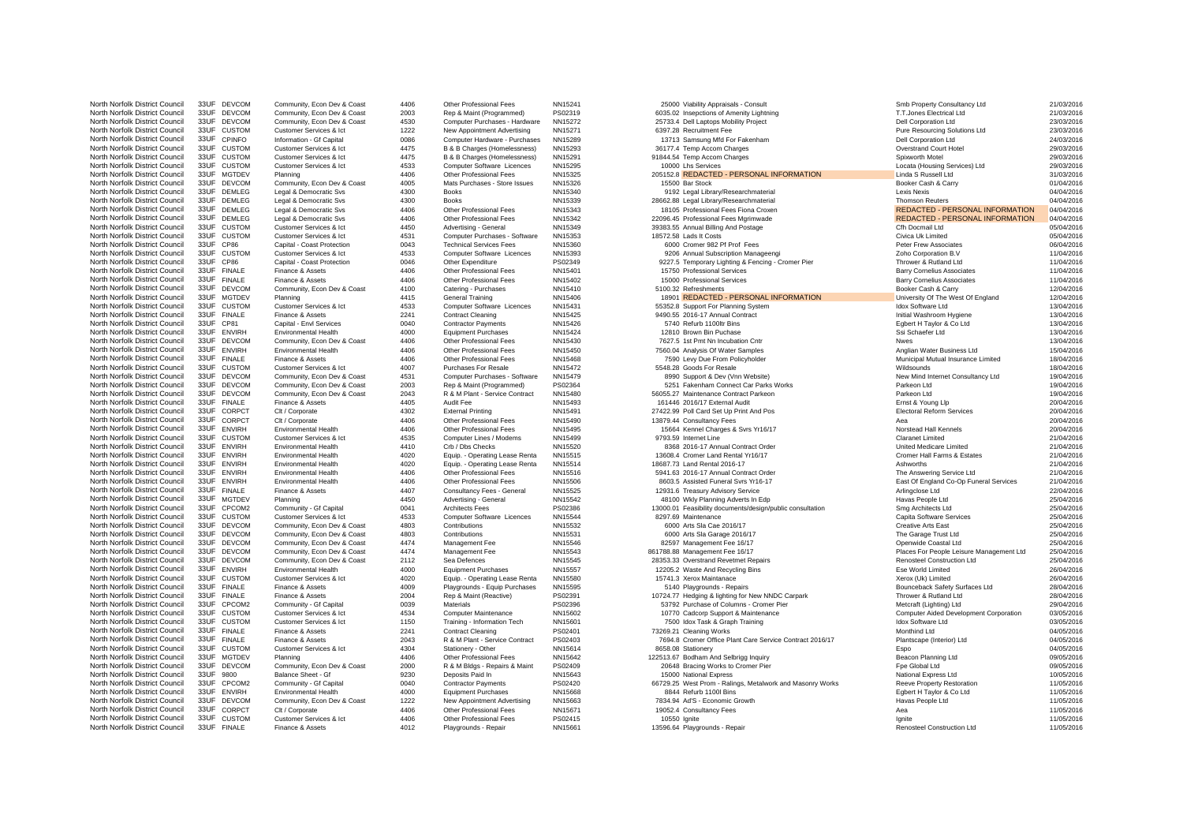North Norfolk District Council 33UF DEVCOM Community, Econ Dev & Coast 4406 Other Professional Fees NN15241 25000 Viability Appraisals - Consult Consult Smb Property Consultancy Ltd 21/03/2016 21/03/2016<br>North Norfolk Dist North Norfolk District Council 33UF FINALE Finance & Assets 4012 Playgrounds - Repair NN15661 13596.64 Playgrounds - Repair Renosteel Construction Ltd Renosteel Construction Ltd 11/05/2016

North Norfolk District Council 33UF DEVCOM Community, Econ Dev & Coast 2003 Rep & Maint (Programmed) PS02319 6035.02 Insepctions of Amenity Lightning T.T.Jones Electrical Ltd 21/03/2016 North Norfolk District Council 33UF DEVCOM Community, Econ Dev & Coast 4530 Computer Purchases - Hardware NN15272 25733.4 Dell Laptops Mobility Project 23/03/2016 Dell Corporation Ltd Dell Corporation Ltd 23/03/2016 North Norfolk District Council 33UF CUSTOM Customer Services & Ict 1222 New Appointment Advertising NN15271 6397.28 Recruitment Fee Pure Resourcing Solutions Ltd 23/03/2016 North Norfolk District Council 33UF CPINFO Information - Gf Capital 0086 Computer Hardware - Purchases NN15289 13713 Samsung Mfd For Fakenham Dell Corporation Ltd 24/03/2016 North Norfolk District Council 33UF CUSTOM Customer Services & Ict 4475 B & B Charges (Homelessness) NN15293 36177.4 Temp Accom Charges Overstrand Court Hotel 29/03/2016 North Norfolk District Council 33UF CUSTOM Customer Services & Ict 4475 B & B Charges (Homelessness) NN15291 91844.54 Temp Accom Charges Spixworth Motel Spixworth Motel 29/03/2016 North Norfolk District Council 33UF CUSTOM Customer Services & Ict 4533 Computer Software Licences NN15295 10000 Lhs Services Let the Morfold District Council 35UF CUSTOM 29/03/2016 North Norfolk District Council 33UF MGTDEV Customic Correction Customer and the Council and the Professional Fees NN15325 205152.8 REDACTED - PERSONAL INFORMATION Linda S Russell Ltd 31/03/2016<br>North Norfolk District Counc North Norfolk District Council 33UF DEVCOM Community, Econ Dev & Coast 4005 Mats Purchases - Store Issues NN15326 15500 Bar Stock 15500 Bar Stock Booker Cash & Carry Booker Cash & Carry 01/04/2016 North Norfolk District Council 33UF DEMLEG Legal & Democratic Svs 4300 Books NN15340 9192 Legal Library/Researchmaterial Lexis Nexis 04/04/2016 North Norfolk District Council 33UF DEMLEG Legal & Democratic Svs 4300 Books NN15339 28662.88 Legal Library/Researchmaterial Thomson Reuters 04/04/2016 North Norfolk District Council 33UF DEMLEG Legal & Democratic Svs 4406 Other Professional Fees NN15343 18105 Professional Fees Fiona Croxen ReDACTED - PERSONAL INFORMATION 04/04/2016 North Norfolk District Council 33UF DEMLEG Legal & Democratic Svs 4406 Other Professional Fees NN15342 22096.45 Professional Fees Mgrimwade REDACTED - PERSONAL INFORMATION 04/04/2016<br>North Norfolk District Council 33UF CUS North Norfolk District Council 33UF CUSTOM Customer Services & Ict 4450 Advertising - General NN15349 39383.55 Annual Billing And Postage Cfh Docmail Ltd 05/04/2016 North Norfolk District Council 33UF CUSTOM Customer Services & Ict 4531 Computer Purchases - Software NN15353 1898 18572.58 Lads It Costs Costs Civica Uk Limited Civica Uk Limited 05/04/2016 North Norfolk District Council 33UF CP86 Capital - Coast Protection 0043 Technical Services Fees NN15360 6000 Cromer 982 Pf Prof Fees Peter Frew Associates Peter Frew Associates 06/04/2016 North Norfolk District Council 33UF CUSTOM Customer Services & Ict 4533 Computer Software Licences NN15393 9206 Annual Subscription Manageengi Zoho Corporation B.V 2010 2016 2017 11/04/2016<br>North Norfolk District Council 3 North Norfolk District Council 33UF CP86 Capital - Coast Protection 0046 Other Expenditure PS02349 9227.5 Temporary Lighting & Fencing - Cromer Pier Thrower & Rutland Ltd 11/04/2016<br>North Norfolk District Council 33UF FINA North Norfolk District Council 33UF FINALE Finance & Assets 4406 Other Professional Fees NN15401 15750 Professional Services Barry Cornelius Associates 11/04/2016 North Norfolk District Council 33UF FINALE Finance & Assets 4406 Other Professional Fees NN15402 15000 Professional Services Barry Cornelius Associates 11/04/2016 North Norfolk District Council 33UF DEVCOM Community, Econ Dev & Coast 4100 Catering - Purchases NN15410 5100.32 Refreshments Secretion and Developments Booker Cash & Carry 12/04/2016 North Norfolk District Council 33UF MGTDEV Planning Leon. 4415 General Training NN15406 18901 REDACTED - PERSONAL INFORMATION University Of The West Of England 12/04/2016<br>North Norfolk District Council 33UF CUSTOM Customer North Norfolk District Council 33UF CUSTOM Customer Services & Ict 4533 Computer Software Licences NN15431 55352.8 Support For Planning System Individual Idox Software Ltd 13/04/2016 North Norfolk District Council 33UF FINALE Finance & Assets 2241 Contract Cleaning NN15425 9490.55 2016-17 Annual Contract Council Contract Initial Washroom Hygiene 13/04/2016 North Norfolk District Council 33UF CP81 Capital - Envl Services 0040 Contractor Payments NN15426 5740 Refurb 1100ltr Bins Egbert H Taylor & Co Ltd 13/04/2016 North Norfolk District Council 33UF ENVIRH Environmental Health 4000 Equipment Purchases NN15424 12810 Brown Bin Puchase Ssi Schaefer Ltd Sin Schaefer Ltd 13/04/2016 North Norfolk District Council 33UF DEVCOM Community, Econ Dev & Coast 4406 Other Professional Fees NN15430 7627.5 1st Pmt Nn Incubation Cntr Nues Nwes Nwes 13/04/2016 North Norfolk District Council 33UF ENVIRH Environmental Health 4406 Other Professional Fees NN15450 7560.04 Analysis Of Water Samples Anglian Water Business Ltd 15/04/2016 North Norfolk District Council 33UF FINALE Finance & Assets 4406 Other Professional Fees NN15468 7590 Levy Due From Policyholder Municipal Mutual Insurance Limited 18/04/2016 North Norfolk District Council 33UF CUSTOM Customer Services & Ict 4007 Purchases For Resale NN15472 5548.28 Goods For Resale Wildsounds 18/04/2016 North Norfolk District Council 33UF DEVCOM Community, Econ Dev & Coast 4531 Computer Purchases - Software NN15479 8990 Support & Dev (Vnn Website) New Mind Internet Consultancy Ltd 19/04/2016 North Norfolk District Council 33UF DEVCOM Community, Econ Dev & Coast 2003 Rep & Maint (Programmed) PS02364 5251 Fakenham Connect Car Parks Works Parkeon Ltd Parkeon Ltd Parkeon Ltd 19/04/2016<br>North Norfolk District Counc North Norfolk District Council 33UF DEVCOM Community, Econ Dev & Coast 2043 R & M Plant - Service Contract NN15480 56055.27 Maintenance Contract Parkeon Parkeon Ltd 19/04/2016 North Norfolk District Council 33UF FINALE Finance & Assets 4405 Audit Fee NN15493 161446 2016/17 External Audit Ernst & Young Llp 20/04/2016 North Norfolk District Council 33UF CORPCT Clt / Corporate 4302 External Printing NN15491 27422.99 Poll Card Set Up Print And Pos Electoral Reform Services 20/04/2016 North Norfolk District Council 33UF CORPCT Clt / Corporate 4406 Other Professional Fees NN15490 13879.44 Consultancy Fees Aea Aea Aea Aea 20/04/2016 North Norfolk District Council 33UF ENVIRH Environmental Health 4406 Other Professional Fees NN15495 15664 Kennel Charges & Svrs Yr16/17 Norstead Hall Kennels 20/04/2016 North Norfolk District Council 33UF CUSTOM Customer Services & Ict 4535 Computer Lines / Modems NN15499 9793.59 Internet Line Computer Line Claranet Limited 21/04/2016 North Norfolk District Council 33UF ENVIRH Environmental Health 4410 Crb / Dbs Checks NN15520 8368 2016-17 Annual Contract Order United Medicare Limited United Medicare Limited 21/04/2016 North Norfolk District Council 33UF ENVIRH Environmental Health 4020 Equip. - Operating Lease Renta NN15515 13608.4 Cromer Land Rental Yr16/17 Cromer Hall Farms & Estates 21/04/2016 North Norfolk District Council 33UF ENVIRH Environmental Health 4020 Equip. - Operating Lease Renta NN15514 18687.73 Land Rental 2016-17 Ashworths 21/04/2016 North Norfolk District Council 33UF ENVIRH Environmental Health 4406 Other Professional Fees NN15516 5941.63 2016-17 Annual Contract Order The Answering Service Ltd 21/04/2016 North Norfolk District Council 33UF ENVIRH Environmental Health 4406 Other Professional Fees NN15506 8603.5 Assisted Funeral Svrs Yr16-17 East Of England Co-Op Funeral Services 21/04/2016<br>North Norfolk District Council 33U North Norfolk District Council 33UF FINALE Finance & Assets 4407 Consultancy Fees - General NN15525 12931.6 Treasury Advisory Service Arlingclose Ltd Arlingclose Ltd 22/04/2016 22/04/2016<br>North Norfolk District Council 33U North Norfolk District Council 33UF MGTDEV Planning A450 Advertising - General NN15542 48100 Wkly Planning Adverts In Edp Havas People Ltd 25/04/2016<br>North Norfolk District Council 33UF CPCOM2 Community -Gf Capital 0041 Ar North Norfolk District Council 33UF CPCOM2 Community - Gf Capital 2041 Architects Fees PS02386 13000.01 Feasibility documents/design/public consultation Smg Architects Ltd 25/04/2016<br>North Norfolk District Council 33UF CUS North Norfolk District Council 33UF CUSTOM Customer Services & Ict 4533 Computer Software Licences NN15544 8297.69 Maintenance Capita Software Services 25/04/2016 North Norfolk District Council 33UF DEVCOM Community, Econ Dev & Coast 4803 Contributions NN15532 6000 Arts Sla Cae 2016/17 Creative Arts East 25/04/2016 North Norfolk District Council 33UF DEVCOM Community, Econ Dev & Coast 4803 Contributions NN15531 6000 Arts Sla Garage 2016/17 The Garage Trust Ltd 25/04/2016 North Norfolk District Council 33UF DEVCOM Community, Econ Dev & Coast 4474 Management Fee NN15546 82597 Management Fee 16/17 Openwide Coastal Ltd 25/04/2016 North Norfolk District Council 33UF DEVCOM Community, Econ Dev & Coast 4474 Management Fee NN15543 861788.88 Management Fee 16/17 Places For People Leisure Management Ltd 25/04/2016<br>North Norfolk District Council 33UF DEVC North Norfolk District Council 33UF DEVCOM Community, Econ Dev & Coast 2112 Sea Defences NN15545 28353.33 Overstrand Revetmet Repairs Renosteel Construction Ltd 25/04/2016<br>North Norfolk District Council 33UF FNWIRH Fnviron North Norfolk District Council 33UF ENVIRH Environmental Health 4000 Equipment Purchases NN15557 12205.2 Waste And Recycling Bins Ese World Limited Ese World Limited 26/04/2016 North Norfolk District Council 33UF CUSTOM Customer Services & Ict 4020 Equip. - Operating Lease Renta NN15580 15741.3 Xerox Maintanace Xerox Maintanace Xerox (Uk) Limited Xerox (Uk) Limited 26/04/2016 North Norfolk District Council 33UF FINALE Finance & Assets 4009 Playgrounds - Equip Purchases NN15595 5140 Playgrounds - Repairs Bounceback Safety Surfaces Ltd 28/04/2016 North Norfolk District Council 33UF FINALE Finance & Assets 2004 Rep & Maint (Reactive) PS02391 10724.77 Hedging & lighting for New NNDC Carpark Thrower & Rutland Ltd 28/04/2016<br>North Norfolk District Council 33UF CPCOM2 C North Norfolk District Council 33UF CPCOM2 Community - Gf Capital 0039 Materials PS02396 PS02396 53792 Purchase of Columns - Cromer Pier Metcraft (Lighting) Ltd 29/04/2016 North Norfolk District Council 33UF CUSTOM Customer Services & Ict 4534 Computer Maintenance NN15602 10770 Cadcorp Support & Maintenance Computer Aided Development Corporation 03/05/2016 North Norfolk District Council 33UF CUSTOM Customer Services & Ict 1150 Training - Information Tech NN15601 7500 Idox Task & Graph Training Idox Software Ltd Idox Software Ltd 03/05/2016 North Norfolk District Council 33UF FINALE Finance & Assets 2241 Contract Cleaning PS02401 73269.21 Cleaning Works Monthind Ltd Monthind Ltd 04/05/2016 North Norfolk District Council 33UF FINALE Finance & Assets 2043 R & M Plant - Service Contract PS02403 7694.8 Cromer Office Plant Care Service Contract 2016/17 Plantscape (Interior) Ltd 04/05/2016 04/05/2016 14/05/2016 14 North Norfolk District Council 33UF CUSTOM Customer Services & Ict 4304 Stationery - Other NN15614 8658.08 Stationery Espo Espo Espo B4/05/2016 North Norfolk District Council 33UF MGTDEV Planning 4406 4406 Other Professional Fees NN15642 122513.67 Bodham And Selbrigg Inquiry Beacon Planning Ltd Beacon Planning Ltd 09/05/2016 North Norfolk District Council 33UF DEVCOM Community, Econ Dev & Coast 2000 R & M Bldgs - Repairs & Maint PS02409 20648 Bracing Works to Cromer Pier Frequent Pier Fpe Global Ltd Fpe Global Ltd North Norfolk District Council 33UF 9800 Balance Sheet - Gf 9230 Deposits Paid In NN15643 15000 National Express National Express Ltd National Express Ltd 10/05/2016 North Norfolk District Council 33UF CPCOM2 Community - Gf Capital 0040 Contractor Payments PS02420 66729.25 West Prom - Ralings, Metalwork and Masonry Works Reeve Property Restoration 11/05/2016<br>North Norfolk District Coun North Norfolk District Council 33UF ENVIRH Environmental Health 4000 Equipment Purchases NN15668 8844 Refurb 1100l Bins Egbert H Taylor & Co Ltd 11/05/2016 North Norfolk District Council 33UF DEVCOM Community, Econ Dev & Coast 1222 New Appointment Advertising NN15663 7834.94 Ad'S - Economic Growth Havas People Ltd Havas People Ltd 11/05/2016 North Norfolk District Council 33UF CORPCT Clt / Corporate 4406 Other Professional Fees NN15671 19052.4 Consultancy Fees And Aea Aea Aea 11/05/2016 North Norfolk District Council 33UF CUSTOM Customer Services & Ict 4406 Other Professional Fees PS02415 10550 Ignite 11/05/2016 11/05/2016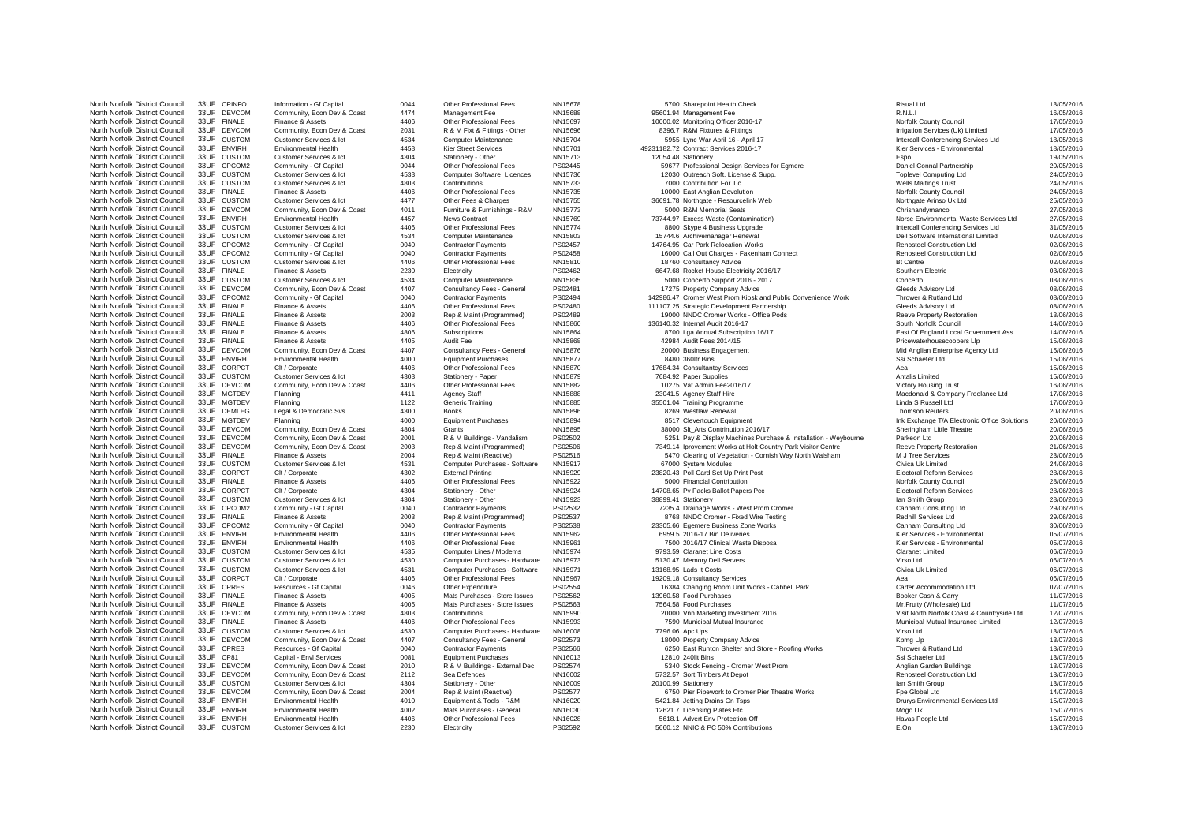North Norfolk District Council 33UF CUSTOM Customer Services & Ict 2230 Electricity PS02592 5660.12 NNIC & PC 50% Contributions E.On E.On E.On 18/07/2016

North Norfolk District Council 33UF CPINFO Information - Gf Capital 0044 Other Professional Fees NN15678 5700 Sharepoint Health Check Risual Ltd Risual Ltd Risual Ltd 13/05/2016 North Norfolk District Council 33UF DEVCOM Community, Econ Dev & Coast 4474 Management Fee NN15688 95601.94 Management Fee R.N.L.I 16/05/2016 North Norfolk District Council 33UF FINALE Finance & Assets 4406 Other Professional Fees NN15697 10000.02 Monitoring Officer 2016-17 Norfolk County Council Norfolk Council 17/05/2016 North Norfolk District Council 33UF DEVCOM Community, Econ Dev & Coast 2031 R & M Fixt & Fittings - Other NN15696 8396.7 R&M Fixtures & Fittings Manuforces (Uk) Limited Irrigation Services (Uk) Limited 17/05/2016 North Norfolk District Council 33UF CUSTOM Customer Services & Ict 4534 Computer Maintenance NN15704 5955 Lync War April 16 - April 17 Intercall Conferencing Services Ltd 18/05/2016 North Norfolk District Council 33UF ENVIRH Environmental Health 4458 Kier Street Services NN15701 49231182.72 Contract Services 2016-17 Kier Services - Environmental 18/05/2016 North Norfolk District Council 33UF CUSTOM Customer Services & Ict 4304 Stationery - Other NN15713 12054.48 Stationery Espo 19/05/2016 North Norfolk District Council 33UF CPCOM2 Community - Gf Capital 0044 Other Professional Fees PS02445 59677 Professional Design Services for Egmere Daniel Connal Partnership 20/05/2016 North Norfolk District Council 33UF CUSTOM Customer Services & Ict 4533 Computer Software Licences NN15736 12030 Outreach Soft. License & Supp. Toplevel Computing Ltd 24/05/2016 North Norfolk District Council 33UF CUSTOM Customer Services & Ict 4803 Contributions NN15733 7000 Contribution For Tic Wells Maltings Trust 24/05/2016 North Norfolk District Council 33UF FINALE Finance & Assets 4406 Other Professional Fees NN15735 10000 East Anglian Devolution Norfolk Council Norfolk Council 24/05/2016 North Norfolk District Council 33UF CUSTOM Customer Services & Ict 4477 Other Fees & Charges NN15755 36691.78 Northgate - Resourcelink Web Northgate Arinso Uk Ltd 25/05/2016 North Norfolk District Council 33UF DEVCOM Community, Econ Dev & Coast 4011 Furniture & Furnishings - R&M NN15773 5000 R&M Memorial Seats Chrishandymanco Chrishandymanco 27/05/2016 North Norfolk District Council 33UF ENVIRH Environmental Health 4457 News Contract NN15769 73744.97 Excess Waste (Contamination) Norse Environmental Waste Services Ltd 27/05/2016 North Norfolk District Council 33UF CUSTOM Customer Services & Ict 4406 Other Professional Fees NN15774 8800 Skype 4 Business Upgrade Intercall Conferencing Services Ltd 31/05/2016 North Norfolk District Council 33UF CUSTOM Customer Services & Ict 4534 Computer Maintenance NN15803 15744.6 Archivemanager Renewal Dell Software International Limited 02/06/2016 North Norfolk District Council 33UF CPCOM2 Community - Gf Capital 0040 Contractor Payments PS02457 14764.95 Car Park Relocation Works Renosteel Construction Ltd Renosteel Construction Ltd 02/06/2016 North Norfolk District Council 33UF CPCOM2 Community - Gf Capital 0040 Contractor Payments PS02458 16000 Call Out Charges - Fakenham Connect Renosteel Construction Ltd 02/06/2016 North Norfolk District Council 33UF CUSTOM Customer Services & Ict 4406 Other Professional Fees NN15810 18760 Consultancy Advice Bt Centre Bt Centre Bt Centre 192/06/2016 North Norfolk District Council 33UF FINALE Finance & Assets 2230 Electricity PS02462 6647.68 Rocket House Electricity 2016/17 Southern Electric 33UF FINALE Finance & Assets 2230 Electricity PS02462 6647.68 Rocket House Ele North Norfolk District Council 33UF CUSTOM Customer Services & Ict 4534 Computer Maintenance NN15835 5000 Concerto Support 2016 - 2017 Concerto Concerto 08/06/2016 North Norfolk District Council 33UF DEVCOM Community, Econ Dev & Coast 4407 Consultancy Fees - General PS02481 17275 Property Company Advice Gleeds Advisory Ltd 08/06/2016 North Norfolk District Council 33UF CPCOM2 Community -Gf Capital 0040 Contractor Payments PS02494 142986.47 Cromer West Prom Kiosk and Public Convenience Work Thrower & Rutland Ltd 08/06/2016<br>North Norfolk District Council North Norfolk District Council 33UF FINALE Finance & Assets 4406 Other Professional Fees PS02480 111107.25 Strategic Development Partnership Gleeds Advisory Ltd 08/06/2016 North Norfolk District Council 33UF FINALE Finance & Assets 2003 Rep & Maint (Programmed) PS02489 19000 NNDC Cromer Works - Office Pods Reeve Property Restoration 13/06/2016 North Norfolk District Council 33UF FINALE Finance & Assets 4406 Other Professional Fees NN15860 136140.32 Internal Audit 2016-17 South Norfolk Council 14/06/2016 North Norfolk District Council 33UF FINALE Finance & Assets 4806 Subscriptions NN15864 8700 Lga Annual Subscription 16/17 East Of England Local Government Ass 14/06/2016 North Norfolk District Council 33UF FINALE Finance & Assets 4405 Audit Fee NN15868 42984 Audit Fees 2014/15 Pricewaterhousecoopers Llp 15/06/2016 North Norfolk District Council 33UF DEVCOM Community, Econ Dev & Coast 4407 Consultancy Fees - General NN15876 20000 Business Engagement Mid Anglian Enterprise Agency Ltd 15/06/2016 North Norfolk District Council 33UF ENVIRH Environmental Health 4000 Equipment Purchases NN15877 8480 360ltr Bins Ssi Schaefer Ltd Ssi Schaefer Ltd 15/06/2016 North Norfolk District Council 33UF CORPCT Clt / Corporate 4406 Other Professional Fees NN15870 17684.34 Consultantcy Services Aea 15/06/2016 North Norfolk District Council 33UF CUSTOM Customer Services & Ict 4303 Stationery - Paper NN15879 7684.92 Paper Supplies Antalis Limited Antalis Limited 15/06/2016 North Norfolk District Council 33UF DEVCOM Community, Econ Dev & Coast 4406 Other Professional Fees NN15882 10275 Vat Admin Fee2016/17 Victory Housing Trust Victory Housing Trust 16/06/2016 North Norfolk District Council 33UF MGTDEV Planning Council 2004.<br>North Norfolk District Council 33UF MGTDEV Planning 4411 Agency Staff NN15888 23041.5 Agency Staff Hire 2004.<br>North Norfolk District Council 33UF MGTDEV Pla North Norfolk District Council 33UF MGTDEV Planning 1122 Generic Training NN15885 35501.04 Training Programme Linda S Russell Ltd 17/06/2016 North Norfolk District Council 33UF DEMLEG Legal & Democratic Svs 4300 Books NN15896 8269 Westlaw Renewal Thomson Reuters 20/06/2016 North Norfolk District Council 33UF MGTDEV Planning 4000 Equipment Purchases NN15894 8517 Clevertouch Equipment Ink Exchange T/A Electronic Office Solutions 20/06/2016 North Norfolk District Council 33UF DEVCOM Community, Econ Dev & Coast 4804 Grants NN15895 38000 Slt\_Arts Contrinution 2016/17 Sheringham Little Theatre 20/06/2016 North Norfolk District Council 33UF DEVCOM Community, Econ Dev & Coast 2001 R & M Buildings - Vandalism PS02502<br>North Norfolk District Council 33UF DEVCOM Community. Econ Dev & Coast 2003 Rep & Maint (Programmed) PS02506 7 North Norfolk District Council 33UF DEVCOM Community, Econ Dev & Coast 2003 Rep & Maint (Programmed) PS02506 7349.14 Iprovement Works at Holt Country Park Visitor Centre Reeve Property Restoration 21/06/2016 21/06/2016 200 North Norfolk District Council 33UF FINALE Finance & Assets 2004 Rep & Maint (Reactive) PS02516 5470 Clearing of Vegetation - Cornish Way North Walsham M J Tree Services 23/06/2016 23/06/2016<br>North Norfolk District Council North Norfolk District Council 33UF CUSTOM Customer Services & Ict 4531 Computer Purchases - Software NN15917 67000 System Modules Computer Purchases - Software NN15917 67000 System Modules Civica Uk Limited Civica Uk Limi North Norfolk District Council 33UF CORPCT Clt / Corporate 4302 External Printing NN15929 23820.43 Poll Card Set Up Print Post Electoral Reform Services 28/06/2016 North Norfolk District Council 33UF FINALE Finance & Assets 4406 Other Professional Fees NN15922 5000 Financial Contribution Norfolk Council Norfolk Council 28/06/2016 North Norfolk District Council 33UF CORPCT Clt / Corporate 4304 Stationery - Other NN15924 14708.65 Pv Packs Ballot Papers Pcc Electoral Reform Services 28/06/2016 North Norfolk District Council 33UF CUSTOM Customer Services & Ict 4304 Stationery - Other NN15923 38899.41 Stationery 3889.41 Stationery Ian Smith Group 128/06/2016 North Norfolk District Council 33UF CPCOM2 Community - Gf Capital 2040 Contractor Payments PS02532 7235.4 Drainage Works - West Prom Cromer Canham Consulting Ltd 29/06/2016<br>North Norfolk District Council 33UF CPCOM2 Commun North Norfolk District Council 33UF FINALE Finance & Assets 2003 Rep & Maint (Programmed) PS02537 8768 NNDC Cromer - Fixed Wire Testing Redhill Services Ltd 29/06/2016 2008/2016 2008/2016<br>North Norfolk District Council 33U North Norfolk District Council 33UF CPCOM2 Community - Gf Capital 0040 Contractor Payments PS02538 23305.66 Egemere Business Zone Works Canham Consulting Ltd 30/06/2016 30/06/2016<br>North Norfolk District Council 33UF FNWIRH North Norfolk District Council 33UF ENVIRH Environmental Health 4406 Other Professional Fees NN15962 6959.5 2016-17 Bin Deliveries Kier Services - Environmental 68/07/2016 North Norfolk District Council 33UF ENVIRH Environmental Health 4406 Other Professional Fees NN15961 7500 2016/17 Clinical Waste Disposa Kier Services - Environmental 195/07/2016 North Norfolk District Council 33UF CUSTOM Customer Services & Ict 4535 Computer Lines / Modems NN15974 9793.59 Claranet Line Costs Claranet Limited Claranet Limited 06/07/2016 North Norfolk District Council 33UF CUSTOM Customer Services & Ict 4530 Computer Purchases - Hardware NN15973 5130.47 Memory Dell Servers Virso Ltd Virso Ltd Virso Ltd 06/07/2016 North Norfolk District Council 33UF CUSTOM Customer Services & Ict 4531 Computer Purchases - Software NN15971 13168.95 Lads It Costs Costs Corporal Civica Uk Limited Civica Uk Limited 06/07/2016 North Norfolk District Council 33UF CORPCT Clt / Corporate 4406 Other Professional Fees NN15967 19209.18 Consultancy Services Aea Aea Aea Aea O6/07/2016 North Norfolk District Council 33UF CPRES Resources - Gf Capital 0046 Other Expenditure PS02554 16384 Changing Room Unit Works - Cabbell Park Carter Accommodation Ltd 07/07/2016 North Norfolk District Council 33UF FINALE Finance & Assets 4005 Mats Purchases - Store Issues PS02562 13960.58 Food Purchases 8 13960.58 Food Purchases Booker Cash & Carry 11/07/2016 North Norfolk District Council 33UF FINALE Finance & Assets 4005 Mats Purchases - Store Issues PS02563 7564.58 Food Purchases Mats Purchases Mr.Fruity (Wholesale) Ltd 11/07/2016 North Norfolk District Council 33UF DEVCOM Community, Econ Dev & Coast 4803 Contributions NN15990 20000 Vnn Marketing Investment 2016 Visit North Norfolk Coast & Countryside Ltd 12/07/2016 North Norfolk District Council 33UF FINALE Finance & Assets 4406 Other Professional Fees NN15993 7590 Municipal Mutual Insurance Municipal Mutual Insurance Municipal Mutual Insurance Limited 12/07/2016 North Norfolk District Council 33UF CUSTOM Customer Services & Ict 4530 Computer Purchases - Hardware NN16008 7796.06 Apc Ups Virso Ltd Virso Ltd Virso Ltd 13/07/2016 North Norfolk District Council 33UF DEVCOM Community, Econ Dev & Coast 4407 Consultancy Fees - General PS02573 18000 Property Company Advice Kpmg Llp Kpmg Llp Kpmg Llp North Norfolk District Council 33UF CPRES Resources Gf Capital 0040 Contractor Payments PS02566 6250 East Runton Shelter and Store - Roofing Works Thrower & Rutland Ltd 13/07/2016<br>North Norfolk District Council 33UF CP81 C North Norfolk District Council 33UF CP81 Capital - Envl Services 0081 Equipment Purchases NN16013 12810 240lit Bins 1307/2016 13/07/2016 13/07/2016 North Norfolk District Council 33UF DEVCOM Community, Econ Dev & Coast 2010 R & M Buildings - External Dec PS02574 5340 Stock Fencing - Cromer West Prom Community anglian Garden Buildings 13/07/2016 North Norfolk District Council 33UF DEVCOM Community, Econ Dev & Coast 2112 Sea Defences NN16002 5732.57 Sort Timbers At Depot Renosteel Construction Ltd Renosteel Construction Ltd 13/07/2016 North Norfolk District Council 33UF CUSTOM Customer Services & Ict 4304 Stationery - Other NN16009 20100.99 Stationery 2010 AMEDIA 20100.99 Stationery International Council 2007/2016 North Norfolk District Council 33UF DEVCOM Community, Econ Dev & Coast 2004 Rep & Maint (Reactive) PS02577 6750 Pier Pipework to Cromer Pier Theatre Works Fpe Global Ltd The Global Ltd 14/07/2016<br>North Norfolk District Cou North Norfolk District Council 33UF ENVIRH Environmental Health 4010 Equipment & Tools - R&M NN16020 5421.84 Jetting Drains On Tsps Drurys Environmental Services Ltd 15/07/2016 North Norfolk District Council 33UF ENVIRH Environmental Health 4002 Mats Purchases - General NN16030 12621.7 Licensing Plates Etc Mogo Uk Mogo Uk 15/07/2016 North Norfolk District Council 33UF ENVIRH Environmental Health 4406 Other Professional Fees NN16028 5618.1 Advert Env Protection Off Havas People Ltd Havas People Ltd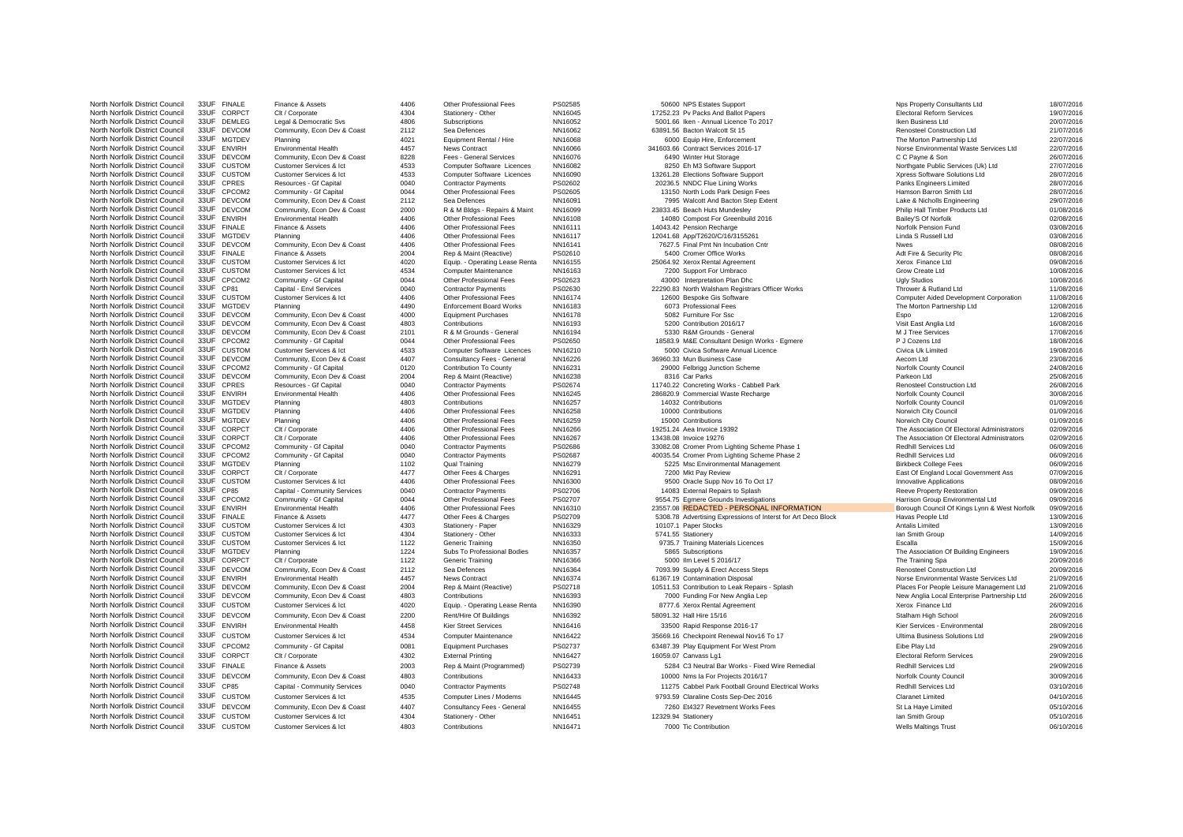North Norfolk District Council 33UF CPCOM2 Community - Gf Capital 0081

North Norfolk District Council 33UF FINALE Finance & Assets 4406 Other Professional Fees PS02585 50600 NPS Estates Support Nest Property Consultants Ltd 18/07/2016 North Norfolk District Council 33UF CORPCT Clt / Corporate 4304 Stationery - Other NN16045 17252.23 Pv Packs And Ballot Papers Electoral Reform Services 19/07/2016 North Norfolk District Council 33UF DEMLEG Legal & Democratic Svs 4806 Subscriptions NN16052 5001.66 Iken - Annual Licence To 2017 2016 Iken Business Ltd 20/07/2016 North Norfolk District Council 33UF DEVCOM Community, Econ Dev & Coast 2112 Sea Defences NN16062 63891.56 Bacton Walcott St 15 Renosteel Construction Ltd 21/07/2016 North Norfolk District Council 33UF MGTDEV Planning 4021 Equipment Rental / Hire NN16068 6000 Equip Hire, Enforcement The Morton Partnership Ltd 22/07/2016 North Norfolk District Council 33UF ENVIRH Environmental Health 4457 News Contract MN16066 341603.66 Contract Services 2016-17 Norse Environmental Waste Services Ltd 22/07/2016 North Norfolk District Council 33UF DEVCOM Community, Econ Dev & Coast 8228 Fees - General Services NN16076 6490 Winter Hut Storage C C Payne & Son 26/07/2016 North Norfolk District Council 33UF CUSTOM Customer Services & Ict 4533 Computer Software Licences NN16082 8250 Eh M3 Software Support Northgate Public Services (Uk) Ltd 27/07/2016 North Norfolk District Council 33UF CUSTOM Customer Services & Ict 4533 Computer Software Licences NN16090 13261.28 Elections Software Support Xpress Software Solutions Ltd 28/07/2016 North Norfolk District Council 33UF CPRES Resources - Gf Capital 28/07/2016 Contractor Payments PS02602 20236.5 NNDC Flue Lining Works Panks Engineers Limited Panks Engineers Limited 28/07/2016 North Norfolk District Council 33UF CPCOM2 Community - Gf Capital 0044 Other Professional Fees PS02605 13150 North Lods Park Design Fees Hamson Barron Smith Ltd 28/07/2016 North Norfolk District Council 33UF DEVCOM Community, Econ Dev & Coast 2112 Sea Defences NN16091 7995 Walcott And Bacton Step Extent Lake & Nicholls Engineering 29/07/2016 North Norfolk District Council 33UF DEVCOM Community, Econ Dev & Coast 2000 R & M Bldgs - Repairs & Maint NN16099 23833.45 Beach Huts Mundesley Philip Hall Timber Products Ltd 01/08/2016 North Norfolk District Council 33UF ENVIRH Environmental Health 4406 Other Professional Fees NN16108 14080 Compost For Greenbuild 2016 Bailey'S Of Norfolk 02/08/2016 North Norfolk District Council 33UF FINALE Finance & Assets 4406 Other Professional Fees NN16111 14043.42 Pension Recharge Norfolk Pension Fund 03/08/2016 North Norfolk District Council 33UF MGTDEV Planning 4406 Other Professional Fees NN16117 12041.68 App/T2620/C/16/3155261 Linda S Russell Ltd Linda S Russell Ltd 03/08/2016 North Norfolk District Council 33UF DEVCOM Community, Econ Dev & Coast 4406 Other Professional Fees NN16141 7627.5 Final Pmt Nn Incubation Cntr Nwes 08/08/2016 North Norfolk District Council 33UF FINALE Finance & Assets 2004 Rep & Maint (Reactive) PS02610 5400 Cromer Office Works Adt Fire & Security Plc 08/08/2016 North Norfolk District Council 33UF CUSTOM Customer Services & Ict 4020 Equip. - Operating Lease Renta NN16155 25064.92 Xerox Rental Agreement Xerox Finance Ltd 09/08/2016 North Norfolk District Council 33UF CUSTOM Customer Services & Ict 4534 Computer Maintenance NN16163 7200 Support For Umbraco Grow Create Ltd 10/08/2016 North Norfolk District Council 33UF CPCOM2 Community - Gf Capital 0044 Other Professional Fees PS02623 43000 Interpretation Plan Dhc Ugly Studios Ugly Studios 10/08/2016 North Norfolk District Council 33UF Clear Capital - Contractor Council 20040 Council 2006 Capital - Environments Contractor Payments 2008 22290.83 North Walsham Registrars Officer Works Thrower Registrars Officer May 1980 North Norfolk District Council 33UF CUSTOM Customer Services & Ict 4406 Other Professional Fees NN16174 12600 Bespoke Gis Software Computer Aided Development Corporation 11/08/2016 North Norfolk District Council 33UF MGTDEV Planning 4490 4490 Enforcement Board Works NN16183 6073 Professional Fees The Morton Partnership Ltd 12/08/2016 North Norfolk District Council 33UF DEVCOM Community, Econ Dev & Coast 4000 Equipment Purchases NN16178 5082 Furniture For Ssc Espo 12/08/2016 North Norfolk District Council 33UF DEVCOM Community, Econ Dev & Coast 4803 Contributions NN16193 5200 Contribution 2016/17 Visit East Anglia Ltd 16/08/2016 North Norfolk District Council 33UF DEVCOM Community, Econ Dev & Coast 2101 R & M Grounds - General NN16194 5330 R&M Grounds - General M J Tree Services 17/08/2016 North Norfolk District Council 33UF CPCOM2 Community - Gf Capital 2004 Other Professional Fees PS02650 18583.9 M&E Consultant Design Works - Egmere P J Cozens Ltd P J Cozens Ltd 18/08/2016<br>North Norfolk District Council 33 North Norfolk District Council 33UF CUSTOM Customer Services & Ict 4533 Computer Software Licences NN16210 5000 Civica Software Annual Licence Civica Uk Limited Civica Uk Limited 19/08/2016 North Norfolk District Council 33UF DEVCOM Community, Econ Dev & Coast 4407 Consultancy Fees - General NN16226 36960.33 Mun Business Case Aecom Ltd Aecom Ltd Aecom Ltd 23/08/2016 North Norfolk District Council 33UF CPCOM2 Community - Gf Capital 0120 Contribution To County NN16231 29000 Felbrigg Junction Scheme Norfolk County Council 24/08/2016 North Norfolk District Council 33UF DEVCOM Community, Econ Dev & Coast 2004 Rep & Maint (Reactive) NN16238 2618 2516 25/08/2016 25/08/2016 North Norfolk District Council 33UF CPRES Resources Gf Capital 0040 Contractor Payments PS02674 11740.22 Concreting Works - Cabbell Park Renosteel Construction Ltd 26/08/2016<br>North Norfolk District Council 33UF ENVIRH Envi North Norfolk District Council 33UF ENVIRH Environmental Health 4406 Other Professional Fees NN16245 286820.9 Commercial Waste Recharge Norfolk County Council 30/08/2016 North Norfolk District Council 33UF MGTDEV Planning 4803 Contributions NN16257 14032 Contributions 1903 Norfolk Council Norfolk Council 191/09/2016 North Norfolk District Council 33UF MGTDEV Planning 4406 Other Professional Fees NN16258 10000 Contributions 10000 Contributions Norwich City Council 101/09/2016 North Norfolk District Council 33UF MGTDEV Planning 4406 0ther Professional Fees NN16259 15000 Contributions 16000 Contributions North District Council 15000 Contributions North District Council 15000 Contributions Norwich North Norfolk District Council 33UF CORPCT Clt / Corporate 4406 Other Professional Fees NN16266 19251.24 Aea Invoice 19392 The Association Of Electoral Administrators 02/09/2016<br>North Norfolk District Council 33UF CORPCT C North Norfolk District Council 33UF CORPCT Clt / Corporate 4406 Other Professional Fees NN16267 13438.08 Invoice 19276 13438.08 Invoice 19276 13438.08 Invoice 19276 13438.08 Invoice 19276 13438.08 District Council 2001 Adm North Norfolk District Council 33UF CPCOM2 Community -Gf Capital 0040 Contractor Payments PS02686 33082.08 Cromer Prom Lighting Scheme Phase 1 Redhill Services Ltd Redhill Services Ltd 06/09/2016 Contractor Payments PS0268 North Norfolk District Council 33UF CPCOM2 Community - Gf Capital 0040 Contractor Payments PS02687 40035.54 Cromer Prom Lighting Scheme Phase 2 Redhill Services Ltd 06/09/2016<br>North Norfolk District Council 33UF MGTDFV Pla North Norfolk District Council 33UF MGTDEV Planning 1102 Qual Training NN16279 5225 Msc Environmental Management Birkbeck College Fees 06/09/2016 North Norfolk District Council 33UF CORPCT Clt / Corporate 4477 Other Fees & Charges NN16291 7200 Mkt Pay Review East Of England Local Government Ass 07/09/2016 North Norfolk District Council 33UF CUSTOM Customer Services & Ict 4406 Other Professional Fees NN16300 9500 Oracle Supp Nov 16 To Oct 17 Innovative Applications Innovative Applications 08/09/2016 North Norfolk District Council 33UF CP85 Capital - Community Services 0040 Contractor Payments PS02706 14083 External Repairs to Splash Reeve Property Restoration Reeve Property Restoration 09/09/2016 North Norfolk District Council 33UF CPCOM2 Community - Gf Capital 2009/2016 2004 Other Professional Fees PS02707 9554.75 Egmere Grounds Investigations Harrison Group Environmental Ltd 09/09/2016<br>North Norfolk District Coun North Norfolk District Council 33UF ENVIRH Environmental Health 4406 Other Professional Fees NN16310 23557.08 REDACTED PERSONAL INFORMATION Borough Council Of Kings Lynn & West Norfolk 09/09/2016<br>North Norfolk District Cou North Norfolk District Council 33UF FINALE Finance & Assets 4477 Other Fees & Charges PS02709 5308.78 Advertising Expressions of Interst for Art Deco Block Havas People Ltd 13/09/2016<br>North Norfolk District Council 33UF CU North Norfolk District Council 33UF CUSTOM Customer Services & Ict 4303 Stationery - Paper NN16329 10107.1 Paper Stocks Antalis Limited Antalis Limited 13/09/2016 North Norfolk District Council 33UF CUSTOM Customer Services & Ict 4304 Stationery - Other NN16333 5741.55 Stationery International Customer Services & Ict 4009/2016 North Norfolk District Council 33UF CUSTOM Customer Services & Ict 1122 Generic Training NN16350 9735.7 Training Materials Licences Escalla Escalla 15/09/2016 North Norfolk District Council 33UF MGTDEV Planning 1224 Subs To Professional Bodies NN16357 5865 Subscriptions 1999/2016 1999/2016 1999/2016 1999/2016 1999/2016 1999/2016 1999/2016 1999/2016 1999/2016 1999/2016 1999/2016 North Norfolk District Council 33UF CORPCT Clt / Corporate 1122 Generic Training NN16366 5000 Ilm Level 5 2016/17 The Training Spa 20/09/2016 North Norfolk District Council 33UF DEVCOM Community, Econ Dev & Coast 2112 Sea Defences NN16364 7093.99 Supply & Erect Access Steps Renosteel Construction Ltd 20/09/2016 North Norfolk District Council 33UF ENVIRH Environmental Health 4457 News Contract News Contract NN16374 61367.19 Contamination Disposal Norse Environmental Waste Services Ltd 21/09/2016 North Norfolk District Council 33UF DEVCOM Community, Econ Dev & Coast 2004 Rep & Maint (Reactive) PS02718 10511.53 Contribution to Leak Repairs - Splash Places For People Leisure Management Ltd 21/09/2016<br>North Norfolk Di North Norfolk District Council 33UF DEVCOM Community, Econ Dev & Coast 4803 Contributions NN16393 7000 Funding For New Anglia Lep New Anglia Local Enterprise Partnership Ltd 26/09/2016 North Norfolk District Council 33UF CUSTOM Customer Services & Ict 4020 Equip. - Operating Lease Renta NN16390 8777.6 Xerox Rental Agreement Xerox Finance Ltd Xerox Finance Ltd 26/09/2016 North Norfolk District Council 33UF DEVCOM Community, Econ Dev & Coast 2200 Rent/Hire Of Buildings NN16392 Sta91.32 Hall Hire 15/16 Stalham Experiment District Council 33UF DEVCOM 26/09/2016 North Norfolk District Council 33UF ENVIRH Environmental Health 4458 Kier Street Services NN16416 33500 Rapid Response 2016-17 Kier Services - Environmental 28/09/2016 North Norfolk District Council 33UF CUSTOM Customer Services & Ict 4534 Computer Maintenance NN16422 35669.16 Checkpoint Renewal Nov16 To 17 Ultima Business Solutions Ltd 29/09/2016<br>North Norfolk District Council 33UF CROO North Norfolk District Council 33UF CORPCT Clt / Corporate 4302 External Printing NN16427 16059.07 Canvass Lg1 Electoral Reform Services 29/09/2016 North Norfolk District Council 33UF FINALE Finance & Assets 2003 Rep & Maint (Programmed) PS02739 5284 C3 Neutral Bar Works - Fixed Wire Remedial Redhill Services Ltd 29/09/2016 North Norfolk District Council 33UF DEVCOM Community, Econ Dev & Coast 4803 Contributions NN16433 10000 Nms Ia For Projects 2016/17 Norfolk County Council 20/09/2016 North Norfolk District Council 33UF CP85 Capital - Community Services 0040 Contractor Payments PS02748 11275 Cabbel Park Football Ground Electrical Works Redhill Services Ltd 03/10/2016 03/10/2016<br>North Norfolk District Co North Norfolk District Council 33UF Custom Customer Services & Ich 4535 Computer Lines Modemn NN16445 9793.59 Claraline Costs Sep-Dec 2016 Claranet Limited Claranet Limited 04/10/2016 04/10/2016 North Norfolk District Council 33UF DEVCOM Community Fron Dev & Coast 4407 Consultancy Fees - General NN16455 7260 Et4327 Revetment Works Fees St La Haye Limited St La Haye Limited 05/10/2016 North Norfolk District Council 33UF CUSTOM Customer Services & Ict 4304 Stationery - Other NN16451 12329.94 Stationery 12329.94 Stationery 12329.94 Stationery 12329.94 Stationery 12329.94 Stationery International District North Norfolk District Council 33UF CUSTOM Customer Services & Ict 4803 Contributions NN16471 7000 Tic Contribution Wells Maltings Trust 06/10/2016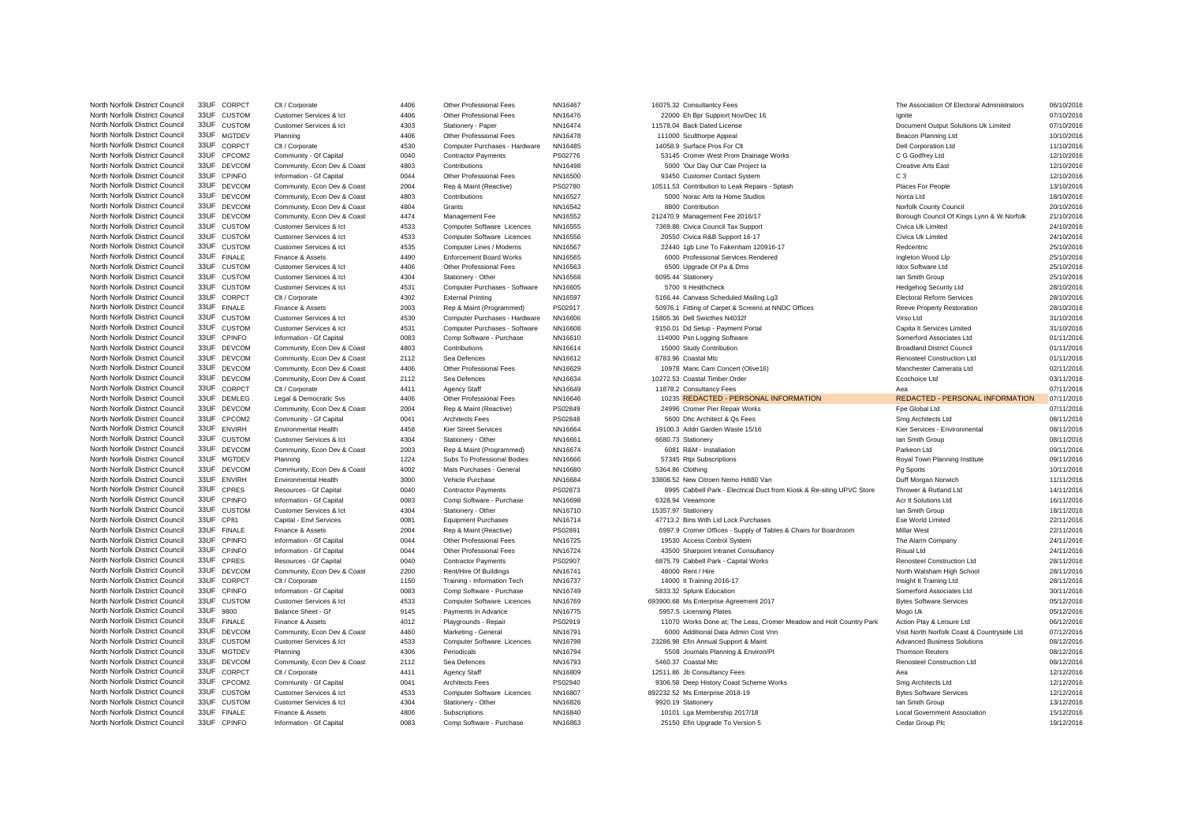North Norfolk District Council 33UF CORPCT Clt / Corporate 4406 Other Professional Fees NN16467 16075.32 Consultantcy Fees The Association Of Electoral Administrators 06/10/2016 North Norfolk District Council 33UF CUSTOM Customer Services & Ict 4406 Other Professional Fees NN16476 22000 Eh Bpr Suppiort Nov/Dec 16 Ignite 16 Ignite 07/10/2016 North Norfolk District Council 33UF CUSTOM Customer Services & Ict 4303 Stationery - Paper NN16474 11578.04 Back Dated License District Council 300 Stations Uk Limited 07/10/2016<br>North Norfolk District Council 33UF MGTDFV North Norfolk District Council 33UF MGTDEV Planning 4406 Other Professional Fees NN16478 111000 Sculthorpe Appeal and Beacon Planning Ltd Beacon Planning Ltd 10/10/2016 North Norfolk District Council 33UF CORPCT Clt / Corporate 4530 Computer Purchases - Hardware NN16485 14058.9 Surface Pros For Clt Dell Corporation Ltd 11/10/2016 North Norfolk District Council 33UF CPCOM2 Community - Gf Capital 0040 Contractor Payments PS02776 53145 Cromer West Prom Drainage Works C G Godfrey Ltd 12/10/2016 North Norfolk District Council 33UF DEVCOM Community, Econ Dev & Coast 4803 Contributions NN16498 5000 'Our Day Out' Cae Project Ia Creative Arts East 12/10/2016 12/10/2016<br>North Norfolk District Council 33UF Cellum Inform North Norfolk District Council 33UF CPINFO Information - Gf Capital 0044 Other Professional Fees NN16500 93450 Customer Contact System C 3 C 3 C 3 12/10/2016 North Norfolk District Council 33UF DEVCOM Community, Econ Dev & Coast 2004 Rep & Maint (Reactive) PS02780 10511.53 Contribution to Leak Repairs - Splash Places For People 13/10/2016 North Norfolk District Council 33UF DEVCOM Community, Econ Dev & Coast 4803 Contributions NN16527 5000 Norac Arts Ia Home Studios Norca Ltd 18/10/2016 North Norfolk District Council 33UF DEVCOM Community, Econ Dev & Coast 4804 Grants NN16542 8800 Contribution Norfolk County Council 20/10/2016 North Norfolk District Council 33UF DEVCOM Community, Econ Dev & Coast 4474 Management Fee NN16552 212470.9 Management Fee 2016/17 Borough Council Of Kings Lynn & W.Norfolk 21/10/2016<br>North Norfolk District Council 33UF CU North Norfolk District Council 33UF CUSTOM Customer Services & Ict 4533 Computer Software Licences NN16555 7369.88 Civica Council Tax Support Civica Uk Limited 24/10/2016 North Norfolk District Council 33UF CUSTOM Customer Services & Ict 4533 Computer Software Licences NN16556 20550 Civica R&B Support 16-17 Civica Uk Limited 24/10/2016 North Norfolk District Council 33UF CUSTOM Customer Services & Ict 4535 Computer Lines / Modems NN16567 22440 1gb Line To Fakenham 120916-17 Redcentric 25/10/2016 North Norfolk District Council 33UF FINALE Finance & Assets 4490 Enforcement Board Works NN16565 6000 Professional Services Rendered Ingleton Wood Llp 25/10/2016 North Norfolk District Council 33UF CUSTOM Customer Services & Ict 4406 Other Professional Fees NN16563 6500 Upgrade Of Pa & Dms Idox Software Ltd 25/10/2016 North Norfolk District Council 33UF CUSTOM Customer Services & Ict 4304 Stationery - Other NN16568 6095.44 Stationery 6095.44 Stationery Ian Smith Group 125/10/2016 North Norfolk District Council 33UF CUSTOM Customer Services & Ict 4531 Computer Purchases - Software NN16605 5700 It Heslthcheck Hedgehog Security Ltd Hedgehog Security Ltd 28/10/2016 North Norfolk District Council 33UF CORPCT Clt / Corporate 4302 External Printing NN16597 5166.44 Canvass Scheduled Mailing Lg3 Electoral Reform Services 28/10/2016<br>North Norfolk District Council 33UF FINALE Finance & Asse North Norfolk District Council 33UF FINALE Finance & Assets 2003 Rep & Maint (Programmed) PS02917 50976.1 Fitting of Carpet & Screens at NNDC Offices Reeve Property Restoration 28/10/2016<br>North Norfolk District Council 33U North Norfolk District Council 33UF CUSTOM Customer Services & Ict 4530 Computer Purchases - Hardware NN16606 15805.36 Dell Swicthes N4032f Virso Ltd 31/10/2016 North Norfolk District Council 33UF CUSTOM Customer Services & Ict 4531 Computer Purchases - Software NN16608 9150.01 Dd Setup - Payment Portal Capita It Services Limited Capita It Services Limited 31/10/2016 North Norfolk District Council 33UF CPINFO Information - Gf Capital 0083 Comp Software - Purchase NN16610 114000 Psn Logging Software Somerford Associates Ltd 01/11/2016 North Norfolk District Council 33UF DEVCOM Community, Econ Dev & Coast 4803 Contributions NN16614 15000 Study Contribution and District Council Broadland District Council 01/11/2016 North Norfolk District Council 33UF DEVCOM Community, Econ Dev & Coast 2112 Sea Defences NN16612 8783.96 Coastal Mtc Renosteel Construction Ltd 01/11/2016 North Norfolk District Council 33UF DEVCOM Community, Econ Dev & Coast 4406 Other Professional Fees NN16629 10978 Manc Cam Concert (Olive16) Manchester Camerata Ltd Manchester Camerata Ltd 02/11/2016 North Norfolk District Council 33UF DEVCOM Community, Econ Dev & Coast 2112 Sea Defences NN16634 10272.53 Coastal Timber Order Econ Dev Boochoice Ltd 03/11/2016 North Norfolk District Council 33UF CORPCT Clt / Corporate 4411 Agency Staff Number 2012 And the Museum of Aea consultancy Fees Aea and Agency Staff Number 2017 11/2016 North Norfolk District Council 33UF DEMLEG Legal & Democratic Svs 4406 Other Professional Fees NN16646 10235 REDACTED - PERSONAL INFORMATION REDACTED - PERSONAL INFORMATION 07/11/2016<br>North Norfolk District Council 33UF DE North Norfolk District Council 33UF DEVCOM Community, Econ Dev & Coast 2004 Rep & Maint (Reactive) PS02849 24996 Cromer Pier Repair Works Fpe Global Ltd 07/11/2016 North Norfolk District Council 33UF CPCOM2 Community - Gf Capital 0041 Architects Fees PS02848 5600 Dhc Architect & Qs Fees Smg Architects Ltd Smg Architects Ltd 08/11/2016 North Norfolk District Council 33UF ENVIRH Environmental Health 4458 Kier Street Services NN16664 19100.3 Addn Garden Waste 15/16 Kier Services - Environmental 19100.3 Addn Garden Waste 15/16 Kier Services - Environmental North Norfolk District Council 33UF CUSTOM Customer Services & Ict 4304 Stationery - Other NN16661 6680.73 Stationery 1997 12016 1997 12016<br>North Norfolk District Council 33UF DEVCOM Community, Econ Dev & Coast 2003 Rep & North Norfolk District Council 33UF DEVCOM Community, Econ Dev & Coast 2003 Rep & Maint (Programmed) NN16674 6081 R&M - Installation Parkeon Ltd 09/11/2016 North Norfolk District Council 33UF MGTDEV Planning 1224 Subs To Professional Bodies NN16666 57345 Rtpi Subscriptions Royal Town Planning Institute 09/11/2016 North Norfolk District Council 33UF DEVCOM Community, Econ Dev & Coast 4002 Mats Purchases - General NN16680 5364.86 Clothing Pg Sports Pg Sports Pg Sports 10/11/2016 North Norfolk District Council 33UF ENVIRH Environmental Health 3000 Vehicle Purchase NN16684 33808.52 New Citroen Nemo Hdi80 Van Duff Morgan Norwich 11/11/2016 North Norfolk District Council 33UF CPRES Resources - Gf Capital 0040 Contractor Payments PS02873 8996 Cabbell Park - Electrical Duct from Kiosk & Re-siting UPVC Store Thrower & Rutland Ltd 14/11/2016 North Norfolk District Council 33UF CPINFO Information - Gf Capital 0083 Comp Software - Purchase NN16698 6328.94 Veeamone 6328.94 Veeamone Acr It Solutions Ltd 16/11/2016 North Norfolk District Council 33UF CUSTOM Customer Services & Ict 4304 Stationery - Other NN16710 15357.97 Stationery 18/11/2016 North Norfolk District Council 33UF CP81 Capital - Envl Services 0081 Equipment Purchases NN16714 47713.2 Bins With Lid Lock Purchases Ese World Limited Ese World Limited 22/11/2016 North Norfolk District Council 33UF FINALE Finance & Assets 2004 Rep & Maint (Reactive) PS02891 6997.9 Cromer Offices - Supply of Tables & Chairs for Boardroom Millar West 22/11/2016<br>North Norfolk District Council 33UF CPI North Norfolk District Council 33UF CPINFO Information - Gf Capital 0044 Other Professional Fees NN16725 19530 Access Control System The Alarm Company The Alarm Company 24/11/2016 North Norfolk District Council 33UF CPINFO Information - Gf Capital 0044 Other Professional Fees NN16724 43500 Sharpoint Intranet Consultancy Risual Ltd Risual Ltd 24/11/2016<br>1991 North Norfolk District Council 33UF CPRES North Norfolk District Council 33UF CPRES Resources - Gf Capital 6040 Contractor Payments PS02907 6875.79 Cabbell Park - Capital Works Renosteel Construction Ltd 28/11/2016 North Norfolk District Council 33UF DEVCOM Community, Econ Dev & Coast 2200 Rent/Hire Of Buildings NN16741 48000 Rent / Hire North Viel Allen North Walsham High School 28/11/2016 North Norfolk District Council 33UF CORPCT Clt / Corporate 1150 Training - Information Tech NN16737 14000 It Training 2016-17 Insight It Training Ltd 28/11/2016 North Norfolk District Council 33UF CPINFO Information - Gf Capital 0083 Comp Software - Purchase NN16749 5833.32 Splunk Education Somerford Associates Ltd S0/11/2016 North Norfolk District Council 33UF CUSTOM Customer Services & Ict 4533 Computer Software Licences NN16769 693900.68 Ms Enterprise Agreement 2017 Bytes Software Services os 05/12/2016<br>North Norfolk District Council 33UF 98 North Norfolk District Council 33UF 9800 Balance Sheet - Gf 9145 Payments In Advance NN16775 5957.5 Licensing Plates Mogo Uk Mogo Uk 05/12/2016 North Norfolk District Council 33UF FINALE Finance & Assets 4012 Playgrounds - Repair PS02919 11070 Works Done at; The Leas, Cromer Meadow and Holt Country Park Action Play & Leisure Ltd 07/12/2016<br>North Norfolk District C North Norfolk District Council 33UF DEVCOM Community, Econ Dev & Coast 4460 Marketing - General NN16791 6000 Additional Data Admin Cost Vnn Visit North Norfolk Coast & Countryside Ltd 07/12/2016<br>North Norfolk District Coun 23286.98 Efin Annual Support & Maint North Norfolk District Council 33UF MGTDEV Planning 4306 Periodicals NN16794 5508 Journals Planning & Environ/Pl Thomson Reuters Thomson Reuters 08/12/2016 North Norfolk District Council 33UF DEVCOM Community, Econ Dev & Coast 2112 Sea Defences NN16793 5460.37 Coastal Mtc Construction Ltd Renosteel Construction Ltd 08/12/2016 North Norfolk District Council 33UF CORPCT Clt / Corporate 4411 Agency Staff NN16809 12511.86 Jb Consultancy Fees Aea Aea 12/12/2016 North Norfolk District Council 33UF CPCOM2 Community - Gf Capital 0041 Architects Fees PS02940 9306.58 Deep History Coast Scheme Works Smg Architects Ltd 12/12/2016 North Norfolk District Council 33UF CUSTOM Customer Services & Ict 4533 Computer Software Licences NN16807 892232.52 Ms Enterprise 2018-19 Bytes Software Services Bytes Software Services 12/12/2016 North Norfolk District Council 33UF CUSTOM Customer Services & Ict 4304 Stationery - Other NN16826 9920.19 Stationery International District Council 33UF CUSTOM 13/12/2016 North Norfolk District Council 33UF FINALE Finance & Assets 4806 Subscriptions NN16840 10101 Lga Membership 2017/18 Local Government Association 15/12/2016<br>North Norfolk District Council 33UF CPINFO Information of Canital North Norfolk District Council 33UF CPINFO Information - Gf Capital 0083 Comp Software - Purchase NN16863 25150 Efin Upgrade To Version 5 Cedar Group Plc 1971 Cedar Group Plc